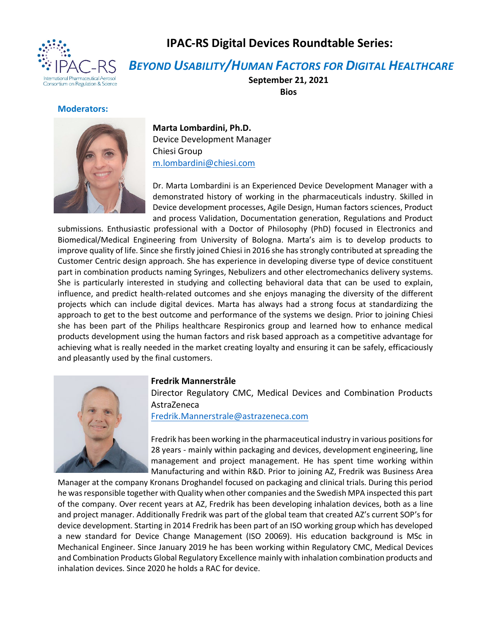

## **IPAC-RS Digital Devices Roundtable Series:**

*BEYOND USABILITY/HUMAN FACTORS FOR DIGITAL HEALTHCARE*

**September 21, 2021 Bios**

## **Moderators:**



**Marta Lombardini, Ph.D.** Device Development Manager Chiesi Group [m.lombardini@chiesi.com](mailto:m.lombardini@chiesi.com)

Dr. Marta Lombardini is an Experienced Device Development Manager with a demonstrated history of working in the pharmaceuticals industry. Skilled in Device development processes, Agile Design, Human factors sciences, Product and process Validation, Documentation generation, Regulations and Product

submissions. Enthusiastic professional with a Doctor of Philosophy (PhD) focused in Electronics and Biomedical/Medical Engineering from University of Bologna. Marta's aim is to develop products to improve quality of life. Since she firstly joined Chiesi in 2016 she has strongly contributed at spreading the Customer Centric design approach. She has experience in developing diverse type of device constituent part in combination products naming Syringes, Nebulizers and other electromechanics delivery systems. She is particularly interested in studying and collecting behavioral data that can be used to explain, influence, and predict health-related outcomes and she enjoys managing the diversity of the different projects which can include digital devices. Marta has always had a strong focus at standardizing the approach to get to the best outcome and performance of the systems we design. Prior to joining Chiesi she has been part of the Philips healthcare Respironics group and learned how to enhance medical products development using the human factors and risk based approach as a competitive advantage for achieving what is really needed in the market creating loyalty and ensuring it can be safely, efficaciously and pleasantly used by the final customers.



## **Fredrik Mannerstråle**

Director Regulatory CMC, Medical Devices and Combination Products AstraZeneca

[Fredrik.Mannerstrale@astrazeneca.com](mailto:Fredrik.Mannerstrale@astrazeneca.com)

Fredrik has been working in the pharmaceutical industry in various positions for 28 years - mainly within packaging and devices, development engineering, line management and project management. He has spent time working within Manufacturing and within R&D. Prior to joining AZ, Fredrik was Business Area

Manager at the company Kronans Droghandel focused on packaging and clinical trials. During this period he was responsible together with Quality when other companies and the Swedish MPA inspected this part of the company. Over recent years at AZ, Fredrik has been developing inhalation devices, both as a line and project manager. Additionally Fredrik was part of the global team that created AZ's current SOP's for device development. Starting in 2014 Fredrik has been part of an ISO working group which has developed a new standard for Device Change Management (ISO 20069). His education background is MSc in Mechanical Engineer. Since January 2019 he has been working within Regulatory CMC, Medical Devices and Combination Products Global Regulatory Excellence mainly with inhalation combination products and inhalation devices. Since 2020 he holds a RAC for device.